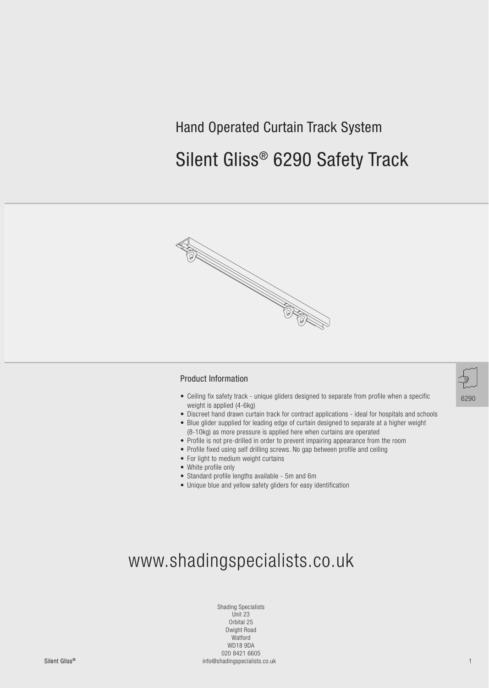### Hand Operated Curtain Track System

## Silent Gliss® 6290 Safety Track



#### Product Information

- Ceiling fix safety track unique gliders designed to separate from profile when a specific weight is applied (4-6kg)
- Discreet hand drawn curtain track for contract applications ideal for hospitals and schools
- Blue glider supplied for leading edge of curtain designed to separate at a higher weight (8-10kg) as more pressure is applied here when curtains are operated
- Profile is not pre-drilled in order to prevent impairing appearance from the room
- Profile fixed using self drilling screws. No gap between profile and ceiling
- For light to medium weight curtains
- White profile only
- Standard profile lengths available 5m and 6m
- Unique blue and yellow safety gliders for easy identification



# www.shadingspecialists.co.uk

Shading Specialists Unit 23 Orbital 25 Dwight Road Watford WD18 9DA 020 8421 6605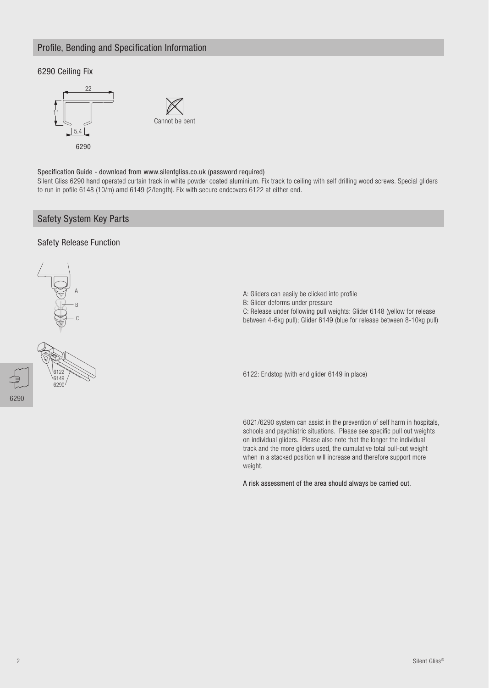#### Profile, Bending and Specification Information

#### 6290 Ceiling Fix





#### Specification Guide - download from www.silentgliss.co.uk (password required)

Silent Gliss 6290 hand operated curtain track in white powder coated aluminium. Fix track to ceiling with self drilling wood screws. Special gliders to run in pofile 6148 (10/m) amd 6149 (2/length). Fix with secure endcovers 6122 at either end.

#### Safety System Key Parts

#### Safety Release Function





B: Glider deforms under pressure C: Release under following pull weights: Glider 6148 (yellow for release

A: Gliders can easily be clicked into profile

between 4-6kg pull); Glider 6149 (blue for release between 8-10kg pull)

6122: Endstop (with end glider 6149 in place)

6021/6290 system can assist in the prevention of self harm in hospitals, schools and psychiatric situations. Please see specific pull out weights on individual gliders. Please also note that the longer the individual track and the more gliders used, the cumulative total pull-out weight when in a stacked position will increase and therefore support more weight.

A risk assessment of the area should always be carried out.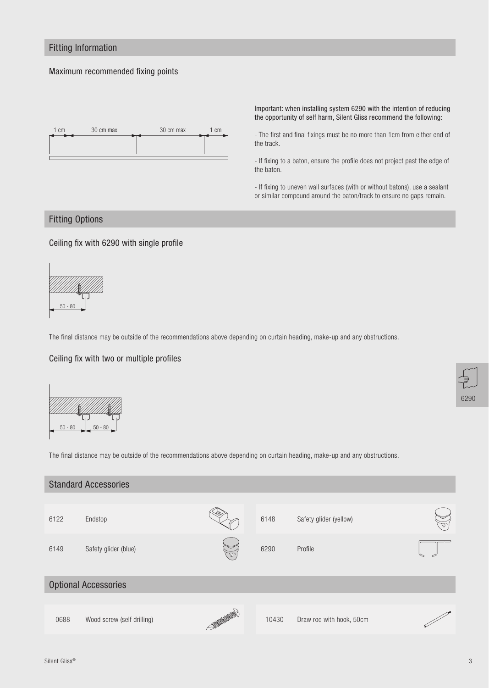#### Fitting Information

#### Maximum recommended fixing points



Important: when installing system 6290 with the intention of reducing the opportunity of self harm, Silent Gliss recommend the following:

- The first and final fixings must be no more than 1cm from either end of the track.

- If fixing to a baton, ensure the profile does not project past the edge of the baton.

- If fixing to uneven wall surfaces (with or without batons), use a sealant or similar compound around the baton/track to ensure no gaps remain.

#### Fitting Options

#### Ceiling fix with 6290 with single profile



The final distance may be outside of the recommendations above depending on curtain heading, make-up and any obstructions.

#### Ceiling fix with two or multiple profiles



The final distance may be outside of the recommendations above depending on curtain heading, make-up and any obstructions.

| <b>Optional Accessories</b> |  |  |  |  |  |  |  |
|-----------------------------|--|--|--|--|--|--|--|
|                             |  |  |  |  |  |  |  |
|                             |  |  |  |  |  |  |  |
|                             |  |  |  |  |  |  |  |